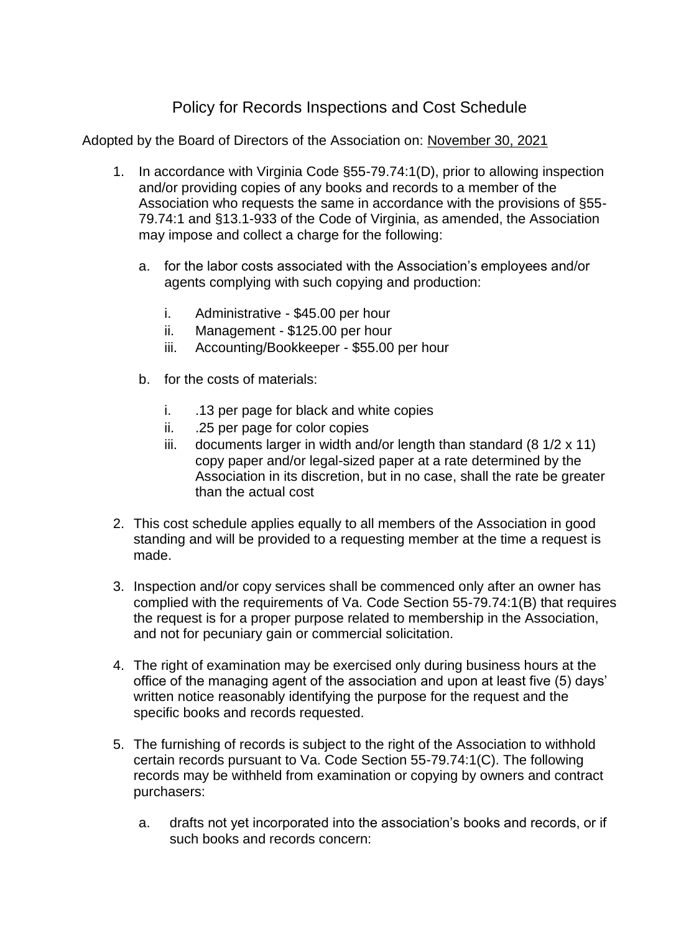## Policy for Records Inspections and Cost Schedule

Adopted by the Board of Directors of the Association on: November 30, 2021

- 1. In accordance with Virginia Code §55-79.74:1(D), prior to allowing inspection and/or providing copies of any books and records to a member of the Association who requests the same in accordance with the provisions of §55- 79.74:1 and §13.1-933 of the Code of Virginia, as amended, the Association may impose and collect a charge for the following:
	- a. for the labor costs associated with the Association's employees and/or agents complying with such copying and production:
		- i. Administrative \$45.00 per hour
		- ii. Management \$125.00 per hour
		- iii. Accounting/Bookkeeper \$55.00 per hour
	- b. for the costs of materials:
		- i. .13 per page for black and white copies
		- ii. .25 per page for color copies
		- iii. documents larger in width and/or length than standard  $(8 \frac{1}{2} \times 11)$ copy paper and/or legal-sized paper at a rate determined by the Association in its discretion, but in no case, shall the rate be greater than the actual cost
- 2. This cost schedule applies equally to all members of the Association in good standing and will be provided to a requesting member at the time a request is made.
- 3. Inspection and/or copy services shall be commenced only after an owner has complied with the requirements of Va. Code Section 55-79.74:1(B) that requires the request is for a proper purpose related to membership in the Association, and not for pecuniary gain or commercial solicitation.
- 4. The right of examination may be exercised only during business hours at the office of the managing agent of the association and upon at least five (5) days' written notice reasonably identifying the purpose for the request and the specific books and records requested.
- 5. The furnishing of records is subject to the right of the Association to withhold certain records pursuant to Va. Code Section 55-79.74:1(C). The following records may be withheld from examination or copying by owners and contract purchasers:
	- a. drafts not yet incorporated into the association's books and records, or if such books and records concern: